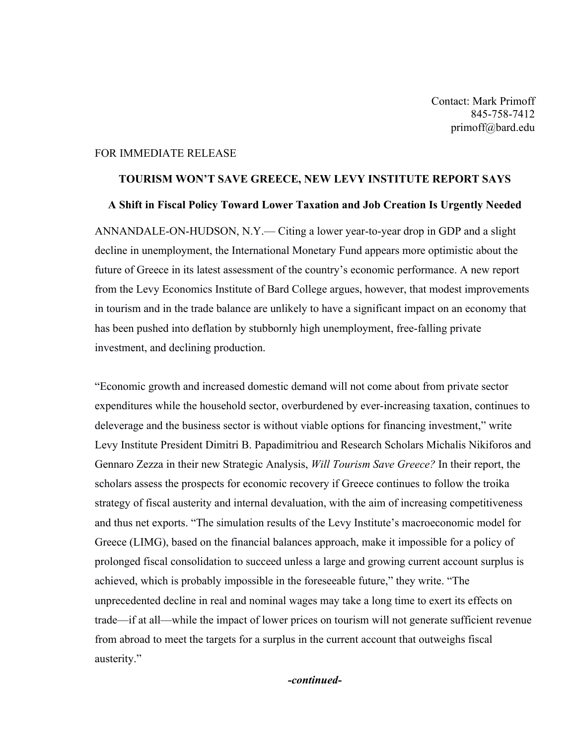Contact: Mark Primoff 845-758-7412 primoff@bard.edu

## FOR IMMEDIATE RELEASE

## **TOURISM WON'T SAVE GREECE, NEW LEVY INSTITUTE REPORT SAYS**

## **A Shift in Fiscal Policy Toward Lower Taxation and Job Creation Is Urgently Needed**

ANNANDALE-ON-HUDSON, N.Y.— Citing a lower year-to-year drop in GDP and a slight decline in unemployment, the International Monetary Fund appears more optimistic about the future of Greece in its latest assessment of the country's economic performance. A new report from the Levy Economics Institute of Bard College argues, however, that modest improvements in tourism and in the trade balance are unlikely to have a significant impact on an economy that has been pushed into deflation by stubbornly high unemployment, free-falling private investment, and declining production.

"Economic growth and increased domestic demand will not come about from private sector expenditures while the household sector, overburdened by ever-increasing taxation, continues to deleverage and the business sector is without viable options for financing investment," write Levy Institute President Dimitri B. Papadimitriou and Research Scholars Michalis Nikiforos and Gennaro Zezza in their new Strategic Analysis, *Will Tourism Save Greece?* In their report, the scholars assess the prospects for economic recovery if Greece continues to follow the troika strategy of fiscal austerity and internal devaluation, with the aim of increasing competitiveness and thus net exports. "The simulation results of the Levy Institute's macroeconomic model for Greece (LIMG), based on the financial balances approach, make it impossible for a policy of prolonged fiscal consolidation to succeed unless a large and growing current account surplus is achieved, which is probably impossible in the foreseeable future," they write. "The unprecedented decline in real and nominal wages may take a long time to exert its effects on trade—if at all—while the impact of lower prices on tourism will not generate sufficient revenue from abroad to meet the targets for a surplus in the current account that outweighs fiscal austerity."

*-continued-*